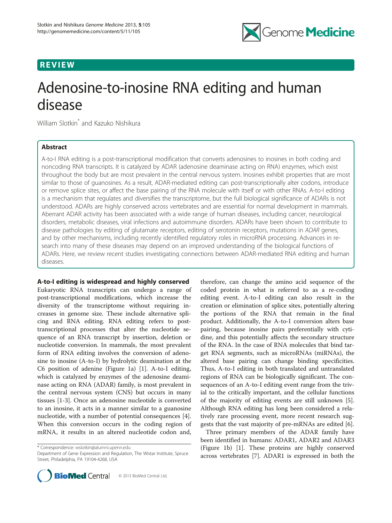

## REVIEW

# Adenosine-to-inosine RNA editing and human disease

William Slotkin\* and Kazuko Nishikura

## Abstract

A-to-I RNA editing is a post-transcriptional modification that converts adenosines to inosines in both coding and noncoding RNA transcripts. It is catalyzed by ADAR (adenosine deaminase acting on RNA) enzymes, which exist throughout the body but are most prevalent in the central nervous system. Inosines exhibit properties that are most similar to those of guanosines. As a result, ADAR-mediated editing can post-transcriptionally alter codons, introduce or remove splice sites, or affect the base pairing of the RNA molecule with itself or with other RNAs. A-to-I editing is a mechanism that regulates and diversifies the transcriptome, but the full biological significance of ADARs is not understood. ADARs are highly conserved across vertebrates and are essential for normal development in mammals. Aberrant ADAR activity has been associated with a wide range of human diseases, including cancer, neurological disorders, metabolic diseases, viral infections and autoimmune disorders. ADARs have been shown to contribute to disease pathologies by editing of glutamate receptors, editing of serotonin receptors, mutations in ADAR genes, and by other mechanisms, including recently identified regulatory roles in microRNA processing. Advances in research into many of these diseases may depend on an improved understanding of the biological functions of ADARs. Here, we review recent studies investigating connections between ADAR-mediated RNA editing and human diseases.

## A-to-I editing is widespread and highly conserved

Eukaryotic RNA transcripts can undergo a range of post-transcriptional modifications, which increase the diversity of the transcriptome without requiring increases in genome size. These include alternative splicing and RNA editing. RNA editing refers to posttranscriptional processes that alter the nucleotide sequence of an RNA transcript by insertion, deletion or nucleotide conversion. In mammals, the most prevalent form of RNA editing involves the conversion of adenosine to inosine (A-to-I) by hydrolytic deamination at the C6 position of adenine (Figure [1](#page-1-0)a) [[1\]](#page-10-0). A-to-I editing, which is catalyzed by enzymes of the adenosine deaminase acting on RNA (ADAR) family, is most prevalent in the central nervous system (CNS) but occurs in many tissues [\[1-3](#page-10-0)]. Once an adenosine nucleotide is converted to an inosine, it acts in a manner similar to a guanosine nucleotide, with a number of potential consequences [\[4](#page-10-0)]. When this conversion occurs in the coding region of mRNA, it results in an altered nucleotide codon and,

Department of Gene Expression and Regulation, The Wistar Institute, Spruce Street, Philadelphia, PA 19104-4268, USA



therefore, can change the amino acid sequence of the coded protein in what is referred to as a re-coding editing event. A-to-I editing can also result in the creation or elimination of splice sites, potentially altering the portions of the RNA that remain in the final product. Additionally, the A-to-I conversion alters base pairing, because inosine pairs preferentially with cytidine, and this potentially affects the secondary structure of the RNA. In the case of RNA molecules that bind target RNA segments, such as microRNAs (miRNAs), the altered base pairing can change binding specificities. Thus, A-to-I editing in both translated and untranslated regions of RNA can be biologically significant. The consequences of an A-to-I editing event range from the trivial to the critically important, and the cellular functions of the majority of editing events are still unknown [\[5](#page-10-0)]. Although RNA editing has long been considered a relatively rare processing event, more recent research suggests that the vast majority of pre-mRNAs are edited [\[6\]](#page-10-0).

Three primary members of the ADAR family have been identified in humans: ADAR1, ADAR2 and ADAR3 (Figure [1b](#page-1-0)) [\[1\]](#page-10-0). These proteins are highly conserved across vertebrates [\[7\]](#page-10-0). ADAR1 is expressed in both the

<sup>\*</sup> Correspondence: [wslotkin@alumni.upenn.edu](mailto:wslotkin@alumni.upenn.edu)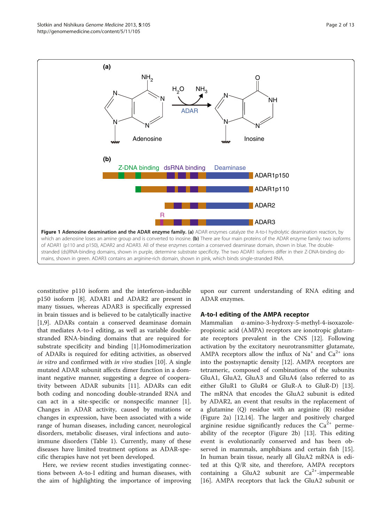<span id="page-1-0"></span>

constitutive p110 isoform and the interferon-inducible p150 isoform [\[8\]](#page-10-0). ADAR1 and ADAR2 are present in many tissues, whereas ADAR3 is specifically expressed in brain tissues and is believed to be catalytically inactive [[1,9\]](#page-10-0). ADARs contain a conserved deaminase domain that mediates A-to-I editing, as well as variable doublestranded RNA-binding domains that are required for substrate specificity and binding [[1\]](#page-10-0).Homodimerization of ADARs is required for editing activities, as observed in vitro and confirmed with in vivo studies [[10\]](#page-10-0). A single mutated ADAR subunit affects dimer function in a dominant negative manner, suggesting a degree of cooperativity between ADAR subunits [\[11\]](#page-10-0). ADARs can edit both coding and noncoding double-stranded RNA and can act in a site-specific or nonspecific manner [\[1](#page-10-0)]. Changes in ADAR activity, caused by mutations or changes in expression, have been associated with a wide range of human diseases, including cancer, neurological disorders, metabolic diseases, viral infections and autoimmune disorders (Table [1\)](#page-2-0). Currently, many of these diseases have limited treatment options as ADAR-specific therapies have not yet been developed.

Here, we review recent studies investigating connections between A-to-I editing and human diseases, with the aim of highlighting the importance of improving upon our current understanding of RNA editing and ADAR enzymes.

## A-to-I editing of the AMPA receptor

Mammalian α-amino-3-hydroxy-5-methyl-4-isoxazolepropionic acid (AMPA) receptors are ionotropic glutamate receptors prevalent in the CNS [[12](#page-10-0)]. Following activation by the excitatory neurotransmitter glutamate, AMPA receptors allow the influx of  $Na^+$  and  $Ca^{2+}$  ions into the postsynaptic density [[12](#page-10-0)]. AMPA receptors are tetrameric, composed of combinations of the subunits GluA1, GluA2, GluA3 and GluA4 (also referred to as either GluR1 to GluR4 or GluR-A to GluR-D) [\[13](#page-10-0)]. The mRNA that encodes the GluA2 subunit is edited by ADAR2, an event that results in the replacement of a glutamine (Q) residue with an arginine (R) residue (Figure [2a](#page-3-0)) [[12,14\]](#page-10-0). The larger and positively charged arginine residue significantly reduces the  $Ca<sup>2+</sup>$  permeability of the receptor (Figure [2](#page-3-0)b) [\[13](#page-10-0)]. This editing event is evolutionarily conserved and has been observed in mammals, amphibians and certain fish [\[15](#page-10-0)]. In human brain tissue, nearly all GluA2 mRNA is edited at this Q/R site, and therefore, AMPA receptors containing a GluA2 subunit are  $Ca^{2+}$ -impermeable [[16\]](#page-10-0). AMPA receptors that lack the GluA2 subunit or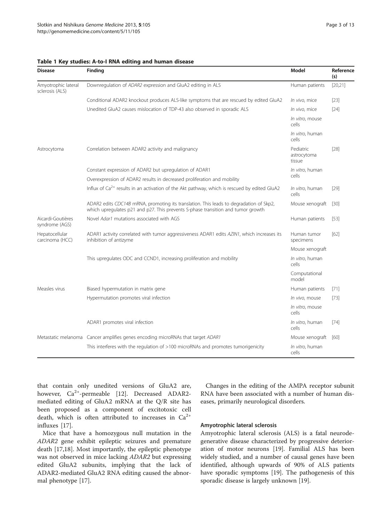| <b>Disease</b>                         | Finding                                                                                                                                                                    | Model                              | Reference<br>(s) |
|----------------------------------------|----------------------------------------------------------------------------------------------------------------------------------------------------------------------------|------------------------------------|------------------|
| Amyotrophic lateral<br>sclerosis (ALS) | Downregulation of ADAR2 expression and GluA2 editing in ALS                                                                                                                | Human patients                     | [20,21]          |
|                                        | Conditional ADAR2 knockout produces ALS-like symptoms that are rescued by edited GluA2                                                                                     | In vivo, mice                      | $[23]$           |
|                                        | Unedited GluA2 causes mislocation of TDP-43 also observed in sporadic ALS                                                                                                  | In vivo, mice                      | $[24]$           |
|                                        |                                                                                                                                                                            | In vitro, mouse<br>cells           |                  |
|                                        |                                                                                                                                                                            | In vitro, human<br>cells           |                  |
| Astrocytoma                            | Correlation between ADAR2 activity and malignancy                                                                                                                          | Pediatric<br>astrocytoma<br>tissue | $[28]$           |
|                                        | Constant expression of ADAR2 but upregulation of ADAR1                                                                                                                     | In vitro, human                    |                  |
|                                        | Overexpression of ADAR2 results in decreased proliferation and mobility                                                                                                    | cells                              |                  |
|                                        | Influx of Ca <sup>2+</sup> results in an activation of the Akt pathway, which is rescued by edited GluA2                                                                   | In vitro, human<br>cells           | $[29]$           |
|                                        | ADAR2 edits CDC14B mRNA, promoting its translation. This leads to degradation of Skp2,<br>which upregulates p21 and p27. This prevents S-phase transition and tumor growth | Mouse xenograft                    | [30]             |
| Aicardi-Goutières<br>syndrome (AGS)    | Novel Adar1 mutations associated with AGS                                                                                                                                  | Human patients                     | $[53]$           |
| Hepatocellular<br>carcinoma (HCC)      | ADAR1 activity correlated with tumor aggressiveness ADAR1 edits AZIN1, which increases its<br>inhibition of antizyme                                                       | Human tumor<br>specimens           | [62]             |
|                                        |                                                                                                                                                                            | Mouse xenograft                    |                  |
|                                        | This upregulates ODC and CCND1, increasing proliferation and mobility                                                                                                      | In vitro, human<br>cells           |                  |
|                                        |                                                                                                                                                                            | Computational<br>model             |                  |
| Measles virus                          | Biased hypermutation in matrix gene                                                                                                                                        | Human patients                     | $[71]$           |
|                                        | Hypermutation promotes viral infection                                                                                                                                     | In vivo, mouse                     | $[73]$           |
|                                        |                                                                                                                                                                            | In vitro, mouse<br>cells           |                  |
|                                        | ADAR1 promotes viral infection                                                                                                                                             | In vitro, human<br>cells           | $[74]$           |
|                                        | Metastatic melanoma Cancer amplifies genes encoding microRNAs that target ADAR1                                                                                            | Mouse xenograft                    | [60]             |
|                                        | This interferes with the regulation of >100 microRNAs and promotes tumorigenicity                                                                                          | In vitro, human<br>cells           |                  |

#### <span id="page-2-0"></span>Table 1 Key studies: A-to-I RNA editing and human disease

that contain only unedited versions of GluA2 are, however,  $Ca^{2+}$ -permeable [\[12](#page-10-0)]. Decreased ADAR2mediated editing of GluA2 mRNA at the Q/R site has been proposed as a component of excitotoxic cell death, which is often attributed to increases in  $Ca^{2+}$ influxes [[17](#page-10-0)].

Mice that have a homozygous null mutation in the ADAR2 gene exhibit epileptic seizures and premature death [[17](#page-10-0),[18](#page-10-0)]. Most importantly, the epileptic phenotype was not observed in mice lacking ADAR2 but expressing edited GluA2 subunits, implying that the lack of ADAR2-mediated GluA2 RNA editing caused the abnormal phenotype [[17](#page-10-0)].

Changes in the editing of the AMPA receptor subunit RNA have been associated with a number of human diseases, primarily neurological disorders.

#### Amyotrophic lateral sclerosis

Amyotrophic lateral sclerosis (ALS) is a fatal neurodegenerative disease characterized by progressive deterioration of motor neurons [[19\]](#page-10-0). Familial ALS has been widely studied, and a number of causal genes have been identified, although upwards of 90% of ALS patients have sporadic symptoms [\[19](#page-10-0)]. The pathogenesis of this sporadic disease is largely unknown [\[19\]](#page-10-0).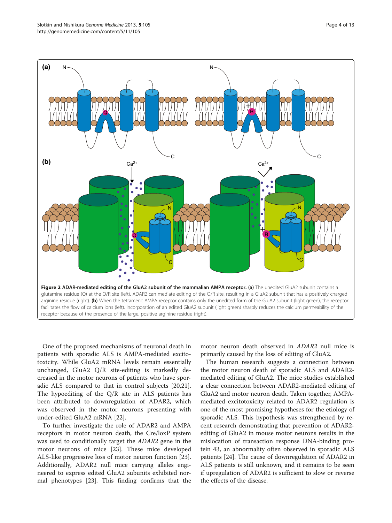<span id="page-3-0"></span>

One of the proposed mechanisms of neuronal death in patients with sporadic ALS is AMPA-mediated excitotoxicity. While GluA2 mRNA levels remain essentially unchanged, GluA2 Q/R site-editing is markedly decreased in the motor neurons of patients who have sporadic ALS compared to that in control subjects [\[20,21](#page-10-0)]. The hypoediting of the Q/R site in ALS patients has been attributed to downregulation of ADAR2, which was observed in the motor neurons presenting with under-edited GluA2 mRNA [[22](#page-10-0)].

To further investigate the role of ADAR2 and AMPA receptors in motor neuron death, the Cre/loxP system was used to conditionally target the ADAR2 gene in the motor neurons of mice [\[23](#page-10-0)]. These mice developed ALS-like progressive loss of motor neuron function [\[23](#page-10-0)]. Additionally, ADAR2 null mice carrying alleles engineered to express edited GluA2 subunits exhibited normal phenotypes [[23](#page-10-0)]. This finding confirms that the motor neuron death observed in ADAR2 null mice is primarily caused by the loss of editing of GluA2.

The human research suggests a connection between the motor neuron death of sporadic ALS and ADAR2 mediated editing of GluA2. The mice studies established a clear connection between ADAR2-mediated editing of GluA2 and motor neuron death. Taken together, AMPAmediated excitotoxicity related to ADAR2 regulation is one of the most promising hypotheses for the etiology of sporadic ALS. This hypothesis was strengthened by recent research demonstrating that prevention of ADAR2 editing of GluA2 in mouse motor neurons results in the mislocation of transaction response DNA-binding protein 43, an abnormality often observed in sporadic ALS patients [\[24\]](#page-10-0). The cause of downregulation of ADAR2 in ALS patients is still unknown, and it remains to be seen if upregulation of ADAR2 is sufficient to slow or reverse the effects of the disease.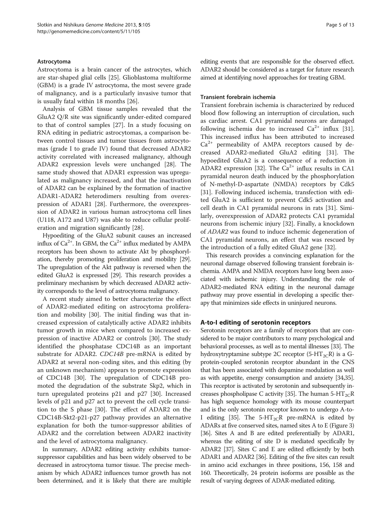#### Astrocytoma

Astrocytoma is a brain cancer of the astrocytes, which are star-shaped glial cells [[25\]](#page-10-0). Glioblastoma multiforme (GBM) is a grade IV astrocytoma, the most severe grade of malignancy, and is a particularly invasive tumor that is usually fatal within 18 months [\[26](#page-10-0)].

Analysis of GBM tissue samples revealed that the GluA2 Q/R site was significantly under-edited compared to that of control samples [[27\]](#page-10-0). In a study focusing on RNA editing in pediatric astrocytomas, a comparison between control tissues and tumor tissues from astrocytomas (grade I to grade IV) found that decreased ADAR2 activity correlated with increased malignancy, although ADAR2 expression levels were unchanged [[28\]](#page-10-0). The same study showed that ADAR1 expression was upregulated as malignancy increased, and that the inactivation of ADAR2 can be explained by the formation of inactive ADAR1-ADAR2 heterodimers resulting from overexpression of ADAR1 [\[28\]](#page-10-0). Furthermore, the overexpression of ADAR2 in various human astrocytoma cell lines (U118, A172 and U87) was able to reduce cellular proliferation and migration significantly [[28\]](#page-10-0).

Hypoediting of the GluA2 subunit causes an increased influx of  $Ca^{2+}$ . In GBM, the  $Ca^{2+}$  influx mediated by AMPA receptors has been shown to activate Akt by phosphorylation, thereby promoting proliferation and mobility [\[29](#page-10-0)]. The upregulation of the Akt pathway is reversed when the edited GluA2 is expressed [\[29\]](#page-10-0). This research provides a preliminary mechanism by which decreased ADAR2 activity corresponds to the level of astrocytoma malignancy.

A recent study aimed to better characterize the effect of ADAR2-mediated editing on astrocytoma proliferation and mobility [\[30\]](#page-10-0). The initial finding was that increased expression of catalytically active ADAR2 inhibits tumor growth in mice when compared to increased expression of inactive ADAR2 or controls [[30\]](#page-10-0). The study identified the phosphatase CDC14B as an important substrate for ADAR2. CDC14B pre-mRNA is edited by ADAR2 at several non-coding sites, and this editing (by an unknown mechanism) appears to promote expression of CDC14B [[30\]](#page-10-0). The upregulation of CDC14B promoted the degradation of the substrate Skp2, which in turn upregulated proteins p21 and p27 [[30\]](#page-10-0). Increased levels of p21 and p27 act to prevent the cell cycle transition to the S phase [\[30](#page-10-0)]. The effect of ADAR2 on the CDC14B-Skt2-p21-p27 pathway provides an alternative explanation for both the tumor-suppressor abilities of ADAR2 and the correlation between ADAR2 inactivity and the level of astrocytoma malignancy.

In summary, ADAR2 editing activity exhibits tumorsuppressor capabilities and has been widely observed to be decreased in astrocytoma tumor tissue. The precise mechanism by which ADAR2 influences tumor growth has not been determined, and it is likely that there are multiple editing events that are responsible for the observed effect. ADAR2 should be considered as a target for future research aimed at identifying novel approaches for treating GBM.

#### Transient forebrain ischemia

Transient forebrain ischemia is characterized by reduced blood flow following an interruption of circulation, such as cardiac arrest. CA1 pyramidal neurons are damaged following ischemia due to increased  $Ca^{2+}$  influx [\[31](#page-11-0)]. This increased influx has been attributed to increased  $Ca<sup>2+</sup>$  permeability of AMPA receptors caused by decreased ADAR2-mediated GluA2 editing [\[31\]](#page-11-0). The hypoedited GluA2 is a consequence of a reduction in ADAR2 expression [\[32\]](#page-11-0). The  $Ca^{2+}$  influx results in CA1 pyramidal neuron death induced by the phosphorylation of N-methyl-D-aspartate (NMDA) receptors by Cdk5 [[31\]](#page-11-0). Following induced ischemia, transfection with edited GluA2 is sufficient to prevent Cdk5 activation and cell death in CA1 pyramidal neurons in rats [[31\]](#page-11-0). Similarly, overexpression of ADAR2 protects CA1 pyramidal neurons from ischemic injury [\[32\]](#page-11-0). Finally, a knockdown of ADAR2 was found to induce ischemic degeneration of CA1 pyramidal neurons, an effect that was rescued by the introduction of a fully edited GluA2 gene [\[32](#page-11-0)].

This research provides a convincing explanation for the neuronal damage observed following transient forebrain ischemia. AMPA and NMDA receptors have long been associated with ischemic injury. Understanding the role of ADAR2-mediated RNA editing in the neuronal damage pathway may prove essential in developing a specific therapy that minimizes side effects in uninjured neurons.

## A-to-I editing of serotonin receptors

Serotonin receptors are a family of receptors that are considered to be major contributors to many psychological and behavioral processes, as well as to mental illnesses [[33](#page-11-0)]. The hydroxytryptamine subtype 2C receptor  $(5-HT_{2C}R)$  is a Gprotein-coupled serotonin receptor abundant in the CNS that has been associated with dopamine modulation as well as with appetite, energy consumption and anxiety [[34,35](#page-11-0)]. This receptor is activated by serotonin and subsequently in-creases phospholipase C activity [\[35\]](#page-11-0). The human  $5-HT_{2C}R$ has high sequence homology with its mouse counterpart and is the only serotonin receptor known to undergo A-to-I editing [\[35\]](#page-11-0). The 5-HT<sub>2C</sub>R pre-mRNA is edited by ADARs at five conserved sites, named sites A to E (Figure [3](#page-5-0)) [[36](#page-11-0)]. Sites A and B are edited preferentially by ADAR1, whereas the editing of site D is mediated specifically by ADAR2 [[37](#page-11-0)]. Sites C and E are edited efficiently by both ADAR1 and ADAR2 [\[36](#page-11-0)]. Editing of the five sites can result in amino acid exchanges in three positions, 156, 158 and 160. Theoretically, 24 protein isoforms are possible as the result of varying degrees of ADAR-mediated editing.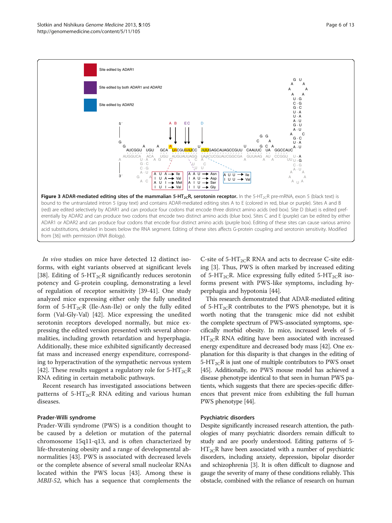<span id="page-5-0"></span>

In vivo studies on mice have detected 12 distinct isoforms, with eight variants observed at significant levels [[38\]](#page-11-0). Editing of 5-HT<sub>2C</sub>R significantly reduces serotonin potency and G-protein coupling, demonstrating a level of regulation of receptor sensitivity [[39-41\]](#page-11-0). One study analyzed mice expressing either only the fully unedited form of  $5-HT_{2C}R$  (Ile-Asn-Ile) or only the fully edited form (Val-Gly-Val) [[42](#page-11-0)]. Mice expressing the unedited serotonin receptors developed normally, but mice expressing the edited version presented with several abnormalities, including growth retardation and hyperphagia. Additionally, these mice exhibited significantly decreased fat mass and increased energy expenditure, corresponding to hyperactivation of the sympathetic nervous system [[42\]](#page-11-0). These results suggest a regulatory role for  $5-HT_{2C}R$ RNA editing in certain metabolic pathways.

Recent research has investigated associations between patterns of 5-HT<sub>2C</sub>R RNA editing and various human diseases.

#### Prader-Willi syndrome

Prader-Willi syndrome (PWS) is a condition thought to be caused by a deletion or mutation of the paternal chromosome 15q11-q13, and is often characterized by life-threatening obesity and a range of developmental abnormalities [[43\]](#page-11-0). PWS is associated with decreased levels or the complete absence of several small nucleolar RNAs located within the PWS locus [[43](#page-11-0)]. Among these is MBII-52, which has a sequence that complements the C-site of 5-HT<sub>2C</sub>R RNA and acts to decrease C-site editing [[3\]](#page-10-0). Thus, PWS is often marked by increased editing of 5-HT<sub>2C</sub>R. Mice expressing fully edited 5-HT<sub>2C</sub>R isoforms present with PWS-like symptoms, including hyperphagia and hypotonia [\[44](#page-11-0)].

This research demonstrated that ADAR-mediated editing of  $5-HT_{2C}R$  contributes to the PWS phenotype, but it is worth noting that the transgenic mice did not exhibit the complete spectrum of PWS-associated symptoms, specifically morbid obesity. In mice, increased levels of 5-  $HT_{2C}R$  RNA editing have been associated with increased energy expenditure and decreased body mass [\[42](#page-11-0)]. One explanation for this disparity is that changes in the editing of  $5-HT_{2C}R$  is just one of multiple contributors to PWS onset [[45](#page-11-0)]. Additionally, no PWS mouse model has achieved a disease phenotype identical to that seen in human PWS patients, which suggests that there are species-specific differences that prevent mice from exhibiting the full human PWS phenotype [[44](#page-11-0)].

#### Psychiatric disorders

Despite significantly increased research attention, the pathologies of many psychiatric disorders remain difficult to study and are poorly understood. Editing patterns of 5-  $HT_{2C}R$  have been associated with a number of psychiatric disorders, including anxiety, depression, bipolar disorder and schizophrenia [[3\]](#page-10-0). It is often difficult to diagnose and gauge the severity of many of these conditions reliably. This obstacle, combined with the reliance of research on human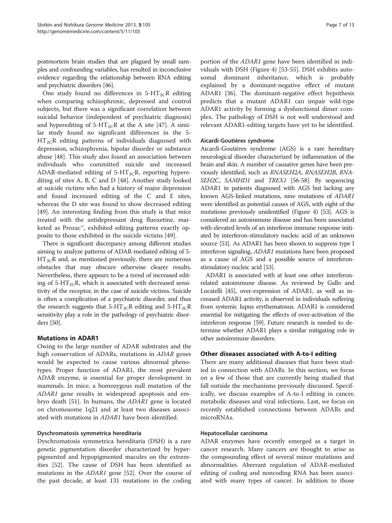postmortem brain studies that are plagued by small samples and confounding variables, has resulted in inconclusive evidence regarding the relationship between RNA editing and psychiatric disorders [[46](#page-11-0)].

One study found no differences in  $5-HT_{2C}R$  editing when comparing schizophrenic, depressed and control subjects, but there was a significant correlation between suicidal behavior (independent of psychiatric diagnosis) and hyperediting of 5-HT<sub>2C</sub>R at the A site [[47\]](#page-11-0). A similar study found no significant differences in the 5-  $HT_{2C}R$  editing patterns of individuals diagnosed with depression, schizophrenia, bipolar disorder or substance abuse [[48\]](#page-11-0). This study also found an association between individuals who committed suicide and increased ADAR-mediated editing of  $5-HT_{2C}R$ , reporting hyperediting of sites A, B, C and D [\[48\]](#page-11-0). Another study looked at suicide victims who had a history of major depression and found increased editing of the C and E sites, whereas the D site was found to show decreased editing [[49\]](#page-11-0). An interesting finding from this study is that mice treated with the antidepressant drug fluoxetine, marketed as Prozac™, exhibited editing patterns exactly opposite to those exhibited in the suicide victims [[49](#page-11-0)].

There is significant discrepancy among different studies aiming to analyze patterns of ADAR-mediated editing of 5-  $HT_{2C}R$  and, as mentioned previously, there are numerous obstacles that may obscure otherwise clearer results. Nevertheless, there appears to be a trend of increased editing of  $5$ -HT<sub>2C</sub>R, which is associated with decreased sensitivity of the receptor, in the case of suicide victims. Suicide is often a complication of a psychiatric disorder, and thus the research suggests that  $5-HT_{2C}R$  editing and  $5-HT_{2C}R$ sensitivity play a role in the pathology of psychiatric disorders [[50](#page-11-0)].

## Mutations in ADAR1

Owing to the large number of ADAR substrates and the high conservation of ADARs, mutations in ADAR genes would be expected to cause various abnormal phenotypes. Proper function of ADAR1, the most prevalent ADAR enzyme, is essential for proper development in mammals. In mice, a homozygous null mutation of the ADAR1 gene results in widespread apoptosis and embryo death [[51\]](#page-11-0). In humans, the ADAR1 gene is located on chromosome 1q21 and at least two diseases associated with mutations in ADAR1 have been identified.

## Dyschromatosis symmetrica hereditaria

Dyschromatosis symmetrica hereditaria (DSH) is a rare genetic pigmentation disorder characterized by hyperpigmented and hypopigmented macules on the extremities [\[52](#page-11-0)]. The cause of DSH has been identified as mutations in the ADAR1 gene [[52](#page-11-0)]. Over the course of the past decade, at least 131 mutations in the coding

portion of the ADAR1 gene have been identified in individuals with DSH (Figure [4\)](#page-7-0) [\[53-55](#page-11-0)]. DSH exhibits autosomal dominant inheritance, which is probably explained by a dominant-negative effect of mutant ADAR1 [[36\]](#page-11-0). The dominant-negative effect hypothesis predicts that a mutant ADAR1 can impair wild-type ADAR1 activity by forming a dysfunctional dimer complex. The pathology of DSH is not well understood and relevant ADAR1-editing targets have yet to be identified.

## Aicardi-Goutières syndrome

Aicardi-Goutières syndrome (AGS) is a rare hereditary neurological disorder characterized by inflammation of the brain and skin. A number of causative genes have been previously identified, such as RNASEH2A, RNASEH2B, RNA-SEH2C, SAMHD1 and TREX1 [[56](#page-11-0)-[58](#page-11-0)]. By sequencing ADAR1 in patients diagnosed with AGS but lacking any known AGS-linked mutations, nine mutations of ADAR1 were identified as potential causes of AGS, with eight of the mutations previously unidentified (Figure [4](#page-7-0)) [[53](#page-11-0)]. AGS is considered an autoimmune disease and has been associated with elevated levels of an interferon immune response initiated by interferon-stimulatory nucleic acid of an unknown source [\[53\]](#page-11-0). As ADAR1 has been shown to suppress type I interferon signaling, ADAR1 mutations have been proposed as a cause of AGS and a possible source of interferonstimulatory nucleic acid [\[53\]](#page-11-0).

ADAR1 is associated with at least one other interferonrelated autoimmune disease. As reviewed by Gallo and Locatelli [[45\]](#page-11-0), over-expression of ADAR1, as well as increased ADAR1 activity, is observed in individuals suffering from systemic lupus erythematosus. ADAR1 is considered essential for mitigating the effects of over-activation of the interferon response [\[59\]](#page-11-0). Future research is needed to determine whether ADAR1 plays a similar mitigating role in other autoimmune disorders.

## Other diseases associated with A-to-I editing

There are many additional diseases that have been studied in connection with ADARs. In this section, we focus on a few of those that are currently being studied that fall outside the mechanisms previously discussed. Specifically, we discuss examples of A-to-I editing in cancer, metabolic diseases and viral infections. Last, we focus on recently established connections between ADARs and microRNAs.

## Hepatocellular carcinoma

ADAR enzymes have recently emerged as a target in cancer research. Many cancers are thought to arise as the compounding effect of several minor mutations and abnormalities. Aberrant regulation of ADAR-mediated editing of coding and noncoding RNA has been associated with many types of cancer. In addition to those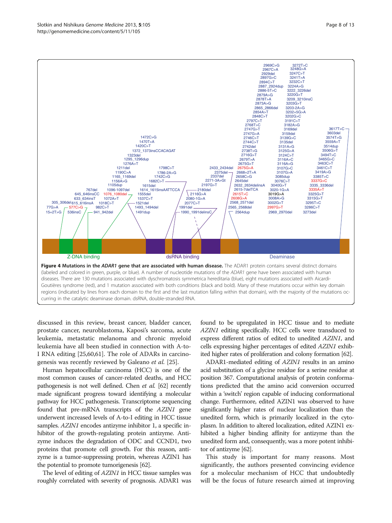<span id="page-7-0"></span>

discussed in this review, breast cancer, bladder cancer, prostate cancer, neuroblastoma, Kaposi's sarcoma, acute leukemia, metastatic melanoma and chronic myeloid leukemia have all been studied in connection with A-to-I RNA editing [[25,](#page-10-0)[60,61\]](#page-11-0). The role of ADARs in carcinogenesis was recently reviewed by Galeano et al. [[25\]](#page-10-0).

Human hepatocellular carcinoma (HCC) is one of the most common causes of cancer-related deaths, and HCC pathogenesis is not well defined. Chen et al. [\[62\]](#page-11-0) recently made significant progress toward identifying a molecular pathway for HCC pathogenesis. Transcriptome sequencing found that pre-mRNA transcripts of the AZIN1 gene underwent increased levels of A-to-I editing in HCC tissue samples. AZIN1 encodes antizyme inhibitor 1, a specific inhibitor of the growth-regulating protein antizyme. Antizyme induces the degradation of ODC and CCND1, two proteins that promote cell growth. For this reason, antizyme is a tumor-suppressing protein, whereas AZIN1 has the potential to promote tumorigenesis [[62\]](#page-11-0).

The level of editing of AZIN1 in HCC tissue samples was roughly correlated with severity of prognosis. ADAR1 was found to be upregulated in HCC tissue and to mediate AZIN1 editing specifically. HCC cells were transduced to express different ratios of edited to unedited AZIN1, and cells expressing higher percentages of edited AZIN1 exhibited higher rates of proliferation and colony formation [[62](#page-11-0)].

ADAR1-mediated editing of AZIN1 results in an amino acid substitution of a glycine residue for a serine residue at position 367. Computational analysis of protein conformations predicted that the amino acid conversion occurred within a 'switch' region capable of inducing conformational change. Furthermore, edited AZIN1 was observed to have significantly higher rates of nuclear localization than the unedited form, which is primarily localized in the cytoplasm. In addition to altered localization, edited AZIN1 exhibited a higher binding affinity for antizyme than the unedited form and, consequently, was a more potent inhibitor of antizyme [\[62](#page-11-0)].

This study is important for many reasons. Most significantly, the authors presented convincing evidence for a molecular mechanism of HCC that undoubtedly will be the focus of future research aimed at improving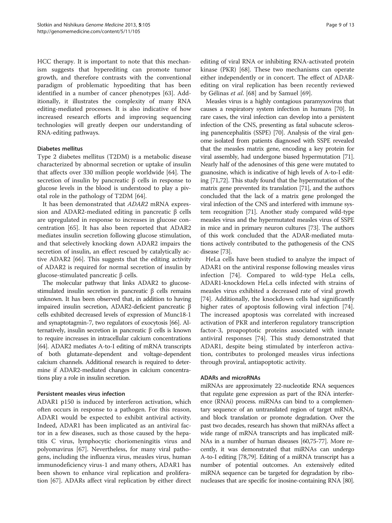HCC therapy. It is important to note that this mechanism suggests that hyperediting can promote tumor growth, and therefore contrasts with the conventional paradigm of problematic hypoediting that has been identified in a number of cancer phenotypes [[63](#page-11-0)]. Additionally, it illustrates the complexity of many RNA editing-mediated processes. It is also indicative of how increased research efforts and improving sequencing technologies will greatly deepen our understanding of RNA-editing pathways.

#### Diabetes mellitus

Type 2 diabetes mellitus (T2DM) is a metabolic disease characterized by abnormal secretion or uptake of insulin that affects over 330 million people worldwide [[64\]](#page-11-0). The secretion of insulin by pancreatic β cells in response to glucose levels in the blood is understood to play a pivotal role in the pathology of T2DM [[64\]](#page-11-0).

It has been demonstrated that ADAR2 mRNA expression and ADAR2-mediated editing in pancreatic β cells are upregulated in response to increases in glucose concentration [\[65\]](#page-11-0). It has also been reported that ADAR2 mediates insulin secretion following glucose stimulation, and that selectively knocking down ADAR2 impairs the secretion of insulin, an effect rescued by catalytically active ADAR2 [\[66\]](#page-11-0). This suggests that the editing activity of ADAR2 is required for normal secretion of insulin by glucose-stimulated pancreatic β cells.

The molecular pathway that links ADAR2 to glucosestimulated insulin secretion in pancreatic β cells remains unknown. It has been observed that, in addition to having impaired insulin secretion, ADAR2-deficient pancreatic β cells exhibited decreased levels of expression of Munc18-1 and synaptotagmin-7, two regulators of exocytosis [\[66\]](#page-11-0). Alternatively, insulin secretion in pancreatic β cells is known to require increases in intracellular calcium concentrations [[64](#page-11-0)]. ADAR2 mediates A-to-I editing of mRNA transcripts of both glutamate-dependent and voltage-dependent calcium channels. Additional research is required to determine if ADAR2-mediated changes in calcium concentrations play a role in insulin secretion.

#### Persistent measles virus infection

ADAR1 p150 is induced by interferon activation, which often occurs in response to a pathogen. For this reason, ADAR1 would be expected to exhibit antiviral activity. Indeed, ADAR1 has been implicated as an antiviral factor in a few diseases, such as those caused by the hepatitis C virus, lymphocytic choriomeningitis virus and polyomavirus [\[67](#page-11-0)]. Nevertheless, for many viral pathogens, including the influenza virus, measles virus, human immunodeficiency virus-1 and many others, ADAR1 has been shown to enhance viral replication and proliferation [[67\]](#page-11-0). ADARs affect viral replication by either direct

editing of viral RNA or inhibiting RNA-activated protein kinase (PKR) [[68\]](#page-11-0). These two mechanisms can operate either independently or in concert. The effect of ADARediting on viral replication has been recently reviewed by Gélinas et al. [\[68\]](#page-11-0) and by Samuel [\[69](#page-11-0)].

Measles virus is a highly contagious paramyxovirus that causes a respiratory system infection in humans [\[70\]](#page-11-0). In rare cases, the viral infection can develop into a persistent infection of the CNS, presenting as fatal subacute sclerosing panencephalitis (SSPE) [\[70\]](#page-11-0). Analysis of the viral genome isolated from patients diagnosed with SSPE revealed that the measles matrix gene, encoding a key protein for viral assembly, had undergone biased hypermutation [[71](#page-11-0)]. Nearly half of the adenosines of this gene were mutated to guanosine, which is indicative of high levels of A-to-I editing [[71](#page-11-0)[,72\]](#page-12-0). This study found that the hypermutation of the matrix gene prevented its translation [\[71](#page-11-0)], and the authors concluded that the lack of a matrix gene prolonged the viral infection of the CNS and interfered with immune system recognition [[71](#page-11-0)]. Another study compared wild-type measles virus and the hypermutated measles virus of SSPE in mice and in primary neuron cultures [[73](#page-12-0)]. The authors of this work concluded that the ADAR-mediated mutations actively contributed to the pathogenesis of the CNS disease [\[73](#page-12-0)].

HeLa cells have been studied to analyze the impact of ADAR1 on the antiviral response following measles virus infection [[74\]](#page-12-0). Compared to wild-type HeLa cells, ADAR1-knockdown HeLa cells infected with strains of measles virus exhibited a decreased rate of viral growth [[74\]](#page-12-0). Additionally, the knockdown cells had significantly higher rates of apoptosis following viral infection [\[74](#page-12-0)]. The increased apoptosis was correlated with increased activation of PKR and interferon regulatory transcription factor-3, proapoptotic proteins associated with innate antiviral responses [[74\]](#page-12-0). This study demonstrated that ADAR1, despite being stimulated by interferon activation, contributes to prolonged measles virus infections through proviral, antiapoptotic activity.

#### ADARs and microRNAs

miRNAs are approximately 22-nucleotide RNA sequences that regulate gene expression as part of the RNA interference (RNAi) process. miRNAs can bind to a complementary sequence of an untranslated region of target mRNA, and block translation or promote degradation. Over the past two decades, research has shown that miRNAs affect a wide range of mRNA transcripts and has implicated miR-NAs in a number of human diseases [\[60](#page-11-0)[,75-77\]](#page-12-0). More recently, it was demonstrated that miRNAs can undergo A-to-I editing [\[78,79](#page-12-0)]. Editing of a miRNA transcript has a number of potential outcomes. An extensively edited miRNA sequence can be targeted for degradation by ribonucleases that are specific for inosine-containing RNA [\[80](#page-12-0)].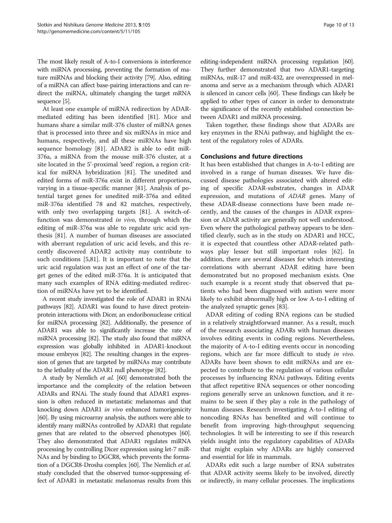The most likely result of A-to-I conversions is interference with miRNA processing, preventing the formation of mature miRNAs and blocking their activity [\[79](#page-12-0)]. Also, editing of a miRNA can affect base-pairing interactions and can redirect the miRNA, ultimately changing the target mRNA sequence [\[5\]](#page-10-0).

At least one example of miRNA redirection by ADARmediated editing has been identified [[81](#page-12-0)]. Mice and humans share a similar miR-376 cluster of miRNA genes that is processed into three and six miRNAs in mice and humans, respectively, and all these miRNAs have high sequence homology [[81](#page-12-0)]. ADAR2 is able to edit miR-376a, a miRNA from the mouse miR-376 cluster, at a site located in the 5'-proximal 'seed' region, a region critical for miRNA hybridization [\[81](#page-12-0)]. The unedited and edited forms of miR-376a exist in different proportions, varying in a tissue-specific manner [[81](#page-12-0)]. Analysis of potential target genes for unedited miR-376a and edited miR-376a identified 78 and 82 matches, respectively, with only two overlapping targets [\[81](#page-12-0)]. A switch-offunction was demonstrated in vivo, through which the editing of miR-376a was able to regulate uric acid synthesis [[81](#page-12-0)]. A number of human diseases are associated with aberrant regulation of uric acid levels, and this recently discovered ADAR2 activity may contribute to such conditions [[5,](#page-10-0)[81\]](#page-12-0). It is important to note that the uric acid regulation was just an effect of one of the target genes of the edited miR-376a. It is anticipated that many such examples of RNA editing-mediated redirection of miRNAs have yet to be identified.

A recent study investigated the role of ADAR1 in RNAi pathways [[82](#page-12-0)]. ADAR1 was found to have direct proteinprotein interactions with Dicer, an endoribonuclease critical for miRNA processing [\[82](#page-12-0)]. Additionally, the presence of ADAR1 was able to significantly increase the rate of miRNA processing [\[82\]](#page-12-0). The study also found that miRNA expression was globally inhibited in ADAR1-knockout mouse embryos [[82](#page-12-0)]. The resulting changes in the expression of genes that are targeted by miRNAs may contribute to the lethality of the ADAR1 null phenotype [[82](#page-12-0)].

A study by Nemlich et al. [[60\]](#page-11-0) demonstrated both the importance and the complexity of the relation between ADARs and RNAi. The study found that ADAR1 expression is often reduced in metastatic melanomas and that knocking down ADAR1 in vivo enhanced tumorigenicity [[60](#page-11-0)]. By using microarray analysis, the authors were able to identify many miRNAs controlled by ADAR1 that regulate genes that are related to the observed phenotypes [[60](#page-11-0)]. They also demonstrated that ADAR1 regulates miRNA processing by controlling Dicer expression using let-7 miR-NAs and by binding to DGCR8, which prevents the formation of a DGCR8-Drosha complex [\[60\]](#page-11-0). The Nemlich et al. study concluded that the observed tumor-suppressing effect of ADAR1 in metastatic melanomas results from this editing-independent miRNA processing regulation [[60](#page-11-0)]. They further demonstrated that two ADAR1-targeting miRNAs, miR-17 and miR-432, are overexpressed in melanoma and serve as a mechanism through which ADAR1 is silenced in cancer cells [[60](#page-11-0)]. These findings can likely be applied to other types of cancer in order to demonstrate the significance of the recently established connection between ADAR1 and miRNA processing.

Taken together, these findings show that ADARs are key enzymes in the RNAi pathway, and highlight the extent of the regulatory roles of ADARs.

## Conclusions and future directions

It has been established that changes in A-to-I editing are involved in a range of human diseases. We have discussed disease pathologies associated with altered editing of specific ADAR-substrates, changes in ADAR expression, and mutations of ADAR genes. Many of these ADAR-disease connections have been made recently, and the causes of the changes in ADAR expression or ADAR activity are generally not well understood. Even where the pathological pathway appears to be identified clearly, such as in the study on ADAR1 and HCC, it is expected that countless other ADAR-related pathways play lesser but still important roles [\[62](#page-11-0)]. In addition, there are several diseases for which interesting correlations with aberrant ADAR editing have been demonstrated but no proposed mechanism exists. One such example is a recent study that observed that patients who had been diagnosed with autism were more likely to exhibit abnormally high or low A-to-I editing of the analyzed synaptic genes [[83](#page-12-0)].

ADAR editing of coding RNA regions can be studied in a relatively straightforward manner. As a result, much of the research associating ADARs with human diseases involves editing events in coding regions. Nevertheless, the majority of A-to-I editing events occur in noncoding regions, which are far more difficult to study in vivo. ADARs have been shown to edit miRNAs and are expected to contribute to the regulation of various cellular processes by influencing RNAi pathways. Editing events that affect repetitive RNA sequences or other noncoding regions generally serve an unknown function, and it remains to be seen if they play a role in the pathology of human diseases. Research investigating A-to-I editing of noncoding RNAs has benefited and will continue to benefit from improving high-throughput sequencing technologies. It will be interesting to see if this research yields insight into the regulatory capabilities of ADARs that might explain why ADARs are highly conserved and essential for life in mammals.

ADARs edit such a large number of RNA substrates that ADAR activity seems likely to be involved, directly or indirectly, in many cellular processes. The implications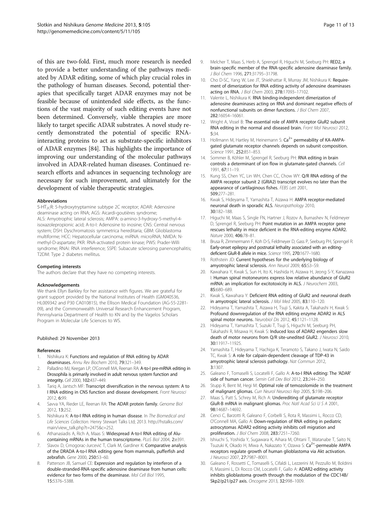<span id="page-10-0"></span>of this are two-fold. First, much more research is needed to provide a better understanding of the pathways mediated by ADAR editing, some of which play crucial roles in the pathology of human diseases. Second, potential therapies that specifically target ADAR enzymes may not be feasible because of unintended side effects, as the functions of the vast majority of such editing events have not been determined. Conversely, viable therapies are more likely to target specific ADAR substrates. A novel study recently demonstrated the potential of specific RNAinteracting proteins to act as substrate-specific inhibitors of ADAR enzymes [[84](#page-12-0)]. This highlights the importance of improving our understanding of the molecular pathways involved in ADAR-related human diseases. Continued research efforts and advances in sequencing technology are necessary for such improvement, and ultimately for the development of viable therapeutic strategies.

#### Abbreviations

5-HT<sub>2C</sub>R: 5-hydroxytryptamine subtype 2C receptor; ADAR: Adenosine deaminase acting on RNA; AGS: Aicardi-goutières syndrome; ALS: Amyotrophic lateral sclerosis; AMPA: α-amino-3-hydroxy-5-methyl-4 isoxazolepropionic acid; A-to-I: Adenosine to inosine; CNS: Central nervous system; DSH: Dyschromatosis symmetrica hereditaria; GBM: Glioblastoma multiforme; HCC: Hepatocellular carcinoma; miRNA: microRNA; NMDA: Nmethyl-D-aspartate; PKR: RNA-activated protein kinase; PWS: Prader-Willi syndrome; RNAi: RNA interference; SSPE: Subacute sclerosing panencephalitis; T2DM: Type 2 diabetes mellitus.

#### Competing interests

The authors declare that they have no competing interests.

#### Acknowledgements

We thank Ellyn Barkley for her assistance with figures. We are grateful for grant support provided by the National Institutes of Health (GM040536, HL009342 and P30 CA010815), the Ellison Medical Foundation (AG-55-2281- 09), and the Commonwealth Universal Research Enhancement Program, Pennsylvania Department of Health to KN and by the Vagelos Scholars Program in Molecular Life Sciences to WS.

#### Published: 29 November 2013

#### References

- 1. Nishikura K: Functions and regulation of RNA editing by ADAR deaminases. Annu Rev Biochem 2010, 79:321–349.
- Palladino MJ, Keegan LP, O'Connell MA, Reenan RA: A-to-I pre-mRNA editing in Drosophila is primarily involved in adult nervous system function and integrity. Cell 2000, 102:437–449.
- Tariq A, Jantsch MF: Transcript diversification in the nervous system: A to I RNA editing in CNS function and disease development. Front Neurosci 2012, 6:99.
- 4. Savva YA, Rieder LE, Reenan RA: The ADAR protein family. Genome Biol 2012, 13:252.
- 5. Nishikura K: A-to-I RNA editing in human disease. In The Biomedical and Life Sciences Collection. Henry Stewart Talks Ltd; 2013. [http://hstalks.com/](http://hstalks.com/main/view_talk.php?t=2475&c=252) [main/view\\_talk.php?t=2475&c=252.](http://hstalks.com/main/view_talk.php?t=2475&c=252)
- 6. Athanasiadis A, Rich A, Maas S: Widespread A-to-I RNA editing of Alucontaining mRNAs in the human transcriptome. PLoS Biol 2004, 2:e391.
- Slavov D, Crnogorac-Jurcević T, Clark M, Gardiner K: Comparative analysis of the DRADA A-to-I RNA editing gene from mammals, pufferfish and zebrafish. Gene 2000, 250:53–60.
- Patterson JB, Samuel CE: Expression and regulation by interferon of a double-stranded-RNA-specific adenosine deaminase from human cells: evidence for two forms of the deaminase. Mol Cell Biol 1995, 15:5376–5388.
- 9. Melcher T, Maas S, Herb A, Sprengel R, Higuchi M, Seeburg PH: RED2, a brain-specific member of the RNA-specific adenosine deaminase family. J Biol Chem 1996, 271:31795–31798.
- 10. Cho D-SC, Yang W, Lee JT, Shiekhattar R, Murray JM, Nishikura K: Requirement of dimerization for RNA editing activity of adenosine deaminases acting on RNA. J Biol Chem 2003, 278:17093–17102.
- 11. Valente L, Nishikura K: RNA binding-independent dimerization of adenosine deaminases acting on RNA and dominant negative effects of nonfunctional subunits on dimer functions. J Biol Chem 2007, 282:16054–16061.
- 12. Wright A, Vissel B: The essential role of AMPA receptor GluR2 subunit RNA editing in the normal and diseased brain. Front Mol Neurosci 2012. 5:34.
- 13. Hollmann M, Hartley M, Heinemann S: Ca<sup>2+</sup> permeability of KA-AMPAgated glutamate receptor channels depends on subunit composition. Science 1991, 252:851–853.
- 14. Sommer B, Köhler M, Sprengel R, Seeburg PH: RNA editing in brain controls a determinant of ion flow in glutamate-gated channels. Cell 1991, 67:11–19.
- 15. Kung SS, Chen YC, Lin WH, Chen CC, Chow WY: Q/R RNA editing of the AMPA receptor subunit 2 (GRIA2) transcript evolves no later than the appearance of cartilaginous fishes. FEBS Lett 2001, 509:277–281.
- 16. Kwak S, Hideyama T, Yamashita T, Aizawa H: AMPA receptor-mediated neuronal death in sporadic ALS. Neuropathology 2010, 30:182–188.
- 17. Higuchi M, Maas S, Single FN, Hartner J, Rozov A, Burnashev N, Feldmeyer D, Sprengel R, Seeburg PH: Point mutation in an AMPA receptor gene rescues lethality in mice deficient in the RNA-editing enzyme ADAR2. Nature 2000, 406:78–81.
- 18. Brusa R, Zimmermann F, Koh D-S, Feldmeyer D, Gass P, Seeburg PH, Sprengel R: Early-onset epilepsy and postnatal lethality associated with an editingdeficient GluR-B allele in mice. Science 1995, 270:1677–1680.
- 19. Rothstein JD: Current hypotheses for the underlying biology of amyotrophic lateral sclerosis. Ann Neurol 2009, 65:S3–S9.
- 20. Kawahara Y, Kwak S, Sun H, Ito K, Hashida H, Aizawa H, Jeong S-Y, Kanazawa I: Human spinal motoneurons express low relative abundance of GluR2 mRNA: an implication for excitotoxicity in ALS. J Neurochem 2003, 85:680–689.
- 21. Kwak S, Kawahara Y: Deficient RNA editing of GluR2 and neuronal death in amyotropic lateral sclerosis. J Mol Med 2005, 83:110–120.
- 22. Hideyama T, Yamashita T, Aizawa H, Tsuji S, Kakita A, Takahashi H, Kwak S: Profound downregulation of the RNA editing enzyme ADAR2 in ALS spinal motor neurons. Neurobiol Dis 2012, 45:1121–1128.
- 23. Hideyama T, Yamashita T, Suzuki T, Tsuji S, Higuchi M, Seeburg PH, Takahashi R, Misawa H, Kwak S: Induced loss of ADAR2 engenders slow death of motor neurons from Q/R site-unedited GluR2. J Neurosci 2010, 30:11917–11925.
- 24. Yamashita T, Hideyama T, Hachiga K, Teramoto S, Takano J, Iwata N, Saido TC, Kwak S: A role for calpain-dependent cleavage of TDP-43 in amyotrophic lateral sclerosis pathology. Nat Commun 2012, 3:1307.
- 25. Galeano F, Tomaselli S, Locatelli F, Gallo A: A-to-I RNA editing: The 'ADAR' side of human cancer. Semin Cell Dev Biol 2012, 23:244-250.
- 26. Stupp R, Bent M, Hegi M: Optimal role of temozolomide in the treatment of malignant gliomas. Curr Neurol Neurosci Rep 2005, 5:198-206.
- Maas S, Patt S, Schrey M, Rich A: Underediting of glutamate receptor GluR-B mRNA in malignant gliomas. Proc Natl Acad Sci U S A 2001, 98:14687–14692.
- 28. Cenci C, Barzotti R, Galeano F, Corbelli S, Rota R, Massimi L, Rocco CD, O'Connell MA, Gallo A: Down-regulation of RNA editing in pediatric astrocytomas ADAR2 editing activity inhibits cell migration and proliferation. J Biol Chem 2008, 283:7251–7260.
- 29. Ishiuchi S, Yoshida Y, Sugawara K, Aihara M, Ohtani T, Watanabe T, Saito N, Tsuzuki K, Okado H, Miwa A, Nakazato Y, Ozawa S: Ca<sup>2+</sup>-permeable AMPA receptors regulate growth of human glioblastoma via Akt activation. J Neurosci 2007, 27:7987–8001.
- 30. Galeano F, Rossetti C, Tomaselli S, Cifaldi L, Lezzerini M, Pezzullo M, Boldrini R, Massimi L, Di Rocco CM, Locatelli F, Gallo A: ADAR2-editing activity inhibits glioblastoma growth through the modulation of the CDC14B/ Skp2/p21/p27 axis. Oncogene 2013, 32:998–1009.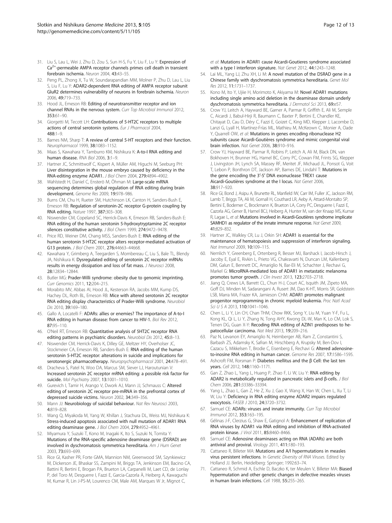- <span id="page-11-0"></span>31. Liu S, Lau L, Wei J, Zhu D, Zou S, Sun H-S, Fu Y, Liu F, Lu Y: Expression of Ca2+-permeable AMPA receptor channels primes cell death in transient forebrain ischemia. Neuron 2004, 43:43–55.
- 32. Peng PL, Zhong X, Tu W, Soundarapandian MM, Molner P, Zhu D, Lau L, Liu S, Liu F, Lu Y: ADAR2-dependent RNA editing of AMPA receptor subunit GluR2 determines vulnerability of neurons in forebrain ischemia. Neuron 2006, 49:719–733.
- 33. Hood JL, Emeson RB: Editing of neurotransmitter receptor and ion channel RNAs in the nervous system. Curr Top Microbiol Immunol 2012, 353:61–90.
- 34. Giorgetti M, Tecott LH: Contributions of 5-HT2C receptors to multiple actions of central serotonin systems. Eur J Pharmacol 2004, 488:1–9.
- 35. Barnes NM, Sharp T: A review of central 5-HT receptors and their function. Neuropharmacol 1999, 38:1083–1152.
- 36. Maas S, Kawahara Y, Tamburro KM, Nishikura K: A-to-I RNA editing and human disease. RNA Biol 2006, 3:1-9.
- 37. Hartner JC, Schmittwolf C, Kispert A, Müller AM, Higuchi M, Seeburg PH: Liver disintegration in the mouse embryo caused by deficiency in the RNA-editing enzyme ADAR1. J Biol Chem 2004, 279:4894–4902.
- 38. Wahlstedt H, Daniel C, Ensterö M, Öhman M: Large-scale mRNA sequencing determines global regulation of RNA editing during brain development. Genome Res 2009, 19:978–986.
- 39. Burns CM, Chu H, Rueter SM, Hutchinson LK, Canton H, Sanders-Bush E, Emeson RB: Regulation of serotonin-2C receptor G-protein coupling by RNA editing. Nature 1997, 387:303–308.
- 40. Niswender CM, Copeland SC, Herrick-Davis K, Emeson RB, Sanders-Bush E: RNA editing of the human serotonin 5-hydroxytryptamine 2C receptor silences constitutive activity. J Biol Chem 1999, 274:9472-9478.
- 41. Price RD, Weiner DM, Chang MSS, Sanders-Bush E: RNA editing of the human serotonin 5-HT2C receptor alters receptor-mediated activation of G13 protein. J Biol Chem 2001, 276:44663-44668.
- 42. Kawahara Y, Grimberg A, Teegarden S, Mombereau C, Liu S, Bale TL, Blendy JA, Nishikura K: Dysregulated editing of serotonin 2C receptor mRNAs results in energy dissipation and loss of fat mass. J Neurosci 2008, 28:12834–12844.
- 43. Butler MG: Prader-Willi syndrome: obesity due to genomic imprinting. Curr Genomics 2011, 12:204–215.
- 44. Morabito MV, Abbas AI, Hood JL, Kesterson RA, Jacobs MM, Kump DS, Hachey DL, Roth BL, Emeson RB: Mice with altered serotonin 2C receptor RNA editing display characteristics of Prader-Willi syndrome. Neurobiol Dis 2010, 39:169–180.
- 45. Gallo A, Locatelli F: ADARs: allies or enemies? The importance of A-to-I RNA editing in human disease: from cancer to HIV-1. Biol Rev 2012, 87:95–110.
- 46. O'Neil RT, Emeson RB: Quantitative analysis of 5HT2C receptor RNA editing patterns in psychiatric disorders. Neurobiol Dis 2012, 45:8–13.
- 47. Niswender CM, Herrick-Davis K, Dilley GE, Meltzer HY, Overholser JC, Stockmeier CA, Emeson RB, Sanders-Bush E: RNA editing of the human serotonin 5-HT2C receptor: alterations in suicide and implications for serotonergic pharmacotherapy. Neuropsychopharmacol 2001, 24:478-491.
- 48. Dracheva S, Patel N, Woo DA, Marcus SM, Siever LJ, Haroutunian V: Increased serotonin 2C receptor mRNA editing: a possible risk factor for suicide. Mol Psychiatry 2007, 13:1001–1010.
- 49. Gurevich I, Tamir H, Arango V, Dwork AJ, Mann JJ, Schmauss C: Altered editing of serotonin 2C receptor pre-mRNA in the prefrontal cortex of depressed suicide victims. Neuron 2002, 34:349–356.
- 50. Mann JJ: Neurobiology of suicidal behaviour. Nat Rev Neurosci 2003, 4:819–828.
- 51. Wang Q, Miyakoda M, Yang W, Khillan J, Stachura DL, Weiss MJ, Nishikura K: Stress-induced apoptosis associated with null mutation of ADAR1 RNA editing deaminase gene. J Biol Chem 2004, 279:4952-4961.
- 52. Miyamura Y, Suzuki T, Kono M, Inagaki K, Ito S, Suzuki N, Tomita Y: Mutations of the RNA-specific adenosine deaminase gene (DSRAD) are involved in dyschromatosis symmetrica hereditaria. Am J Hum Genet 2003, 73:693–699.
- 53. Rice GI, Kasher PR, Forte GMA, Mannion NM, Greenwood SM, Szynkiewicz M, Dickerson JE, Bhaskar SS, Zampini M, Briggs TA, Jenkinson EM, Bacino CA, Battini R, Bertini E, Brogan PA, Brueton LA, Carpanelli M, Laet CD, de Lonlay P, del Toro M, Desguerre I, Fazzi E, Garcia-Cazorla À, Heiberg A, Kawaguchi M, Kumar R, Lin J-PS-M, Lourenco CM, Male AM, Marques W Jr, Mignot C,
- 54. Lai ML, Yang LJ, Zhu XH, Li M: A novel mutation of the DSRAD gene in a Chinese family with dyschromatosis symmetrica hereditaria. Genet Mol Res 2012, 11:1731–1737.
- 55. Kono M, Ito Y, Ujiie H, Morimoto K, Akiyama M: Novel ADAR1 mutations including single amino acid deletion in the deaminase domain underly dyschromatosis symmetrica hereditaria. J Dermatol Sci 2013, 69:e57.
- 56. Crow YJ, Leitch A, Hayward BE, Garner A, Parmar R, Griffith E, Ali M, Semple C, Aicardi J, Babul-Hirji R, Baumann C, Baxter P, Bertini E, Chandler KE, Chitayat D, Cau D, Déry C, Fazzi E, Goizet C, King MD, Klepper J, Lacombe D, Lanzi G, Lyall H, Martínez-Frías ML, Mathieu M, McKeown C, Monier A, Oade Y, Quarrell OW, et al: Mutations in genes encoding ribonuclease H2 subunits cause Aicardi-Goutières syndrome and mimic congenital viral brain infection. Nat Genet 2006, 38:910–916.
- 57. Crow YJ, Hayward BE, Parmar R, Robins P, Leitch A, Ali M, Black DN, van Bokhoven H, Brunner HG, Hamel BC, Corry PC, Cowan FM, Frints SG, Klepper J, Livingston JH, Lynch SA, Massey RF, Meritet JF, Michaud JL, Ponsot G, Voit T, Lebon P, Bonthron DT, Jackson AP, Barnes DE, Lindahl T: Mutations in the gene encoding the 3′-5′ DNA exonuclease TREX1 cause Aicardi-Goutières syndrome at the I locus. Nat Genet 2006, 38:917–920.
- 58. Rice GI, Bond J, Asipu A, Brunette RL, Manfield IW, Carr IM, Fuller JC, Jackson RM, Lamb T, Briggs TA, Ali M, Gornall H, Couthard LR, Aeby A, Attard-Montalto SP, Bertini E, Bodemer C, Brockmann K, Brueton LA, Corry PC, Desguerre I, Fazzi E, Cazorla AG, Gener B, Hamel BCJ, Heiberg A, Hunter M, van der Knaap MS, Kumar R, Lagae L, et al: Mutations involved in Aicardi-Goutières syndrome implicate SAMHD1 as regulator of the innate immune response. Nat Genet 2009, 41:829–832.
- 59. Hartner JC, Walkley CR, Lu J, Orkin SH: ADAR1 is essential for the maintenance of hematopoiesis and suppression of interferon signaling. Nat Immunol 2009, 10:109-115.
- 60. Nemlich Y, Greenberg E, Ortenberg R, Besser MJ, Barshack I, Jacob-Hirsch J, Jacoby E, Eyal E, Rivkin L, Prieto VG, Chakravarti N, Duncan LM, Kallenberg DM, Galun E, Bennett DC, Amariglio N, Bar-Eli M, Schachter J, Rechavi G, Markel G: MicroRNA-mediated loss of ADAR1 in metastatic melanoma promotes tumor growth. J Clin Invest 2013, 123:2703-2718.
- 61. Jiang Q, Crews LA, Barrett CL, Chun H-J, Court AC, Isquith JM, Zipeto MA, Goff DJ, Minden M, Sadarangani A, Rusert JM, Dao K-HT, Morris SR, Goldstein LSB, Marra MA, Frazer KA, Jamieson CHM: ADAR1 promotes malignant progenitor reprogramming in chronic myeloid leukemia. Proc Natl Acad Sci U S A 2013, 110:1041-1046.
- 62. Chen L, Li Y, Lin CH, Chan THM, Chow RKK, Song Y, Liu M, Yuan Y-F, Fu L, Kong KL, Qi L, Li Y, Zhang N, Tong AHY, Kwong DL-W, Man K, Lo CM, Lok S, Tenen DG, Guan X-Y: Recoding RNA editing of AZIN1 predisposes to hepatocellular carcinoma. Nat Med 2013, 19:209–216.
- 63. Paz N, Levanon EY, Amariglio N, Heimberger AB, Ram Z, Constantini S, Barbash ZS, Adamsky K, Safran M, Hirschberg A, Krupsky M, Ben-Dov I, Cazacu S, Mikkelsen T, Brodie C, Eisenberg E, Rechavi G: Altered adenosineto-inosine RNA editing in human cancer. Genome Res 2007, 17:1586–1595.
- 64. Ashcroft FM, Rorsman P: Diabetes mellitus and the β Cell: the last ten years. Cell 2012, 148:1160–1171.
- 65. Gan Z, Zhao L, Yang L, Huang P, Zhao F, Li W, Liu Y: RNA editing by ADAR2 is metabolically regulated in pancreatic islets and β-cells. J Biol Chem 2006, 281:33386–33394.
- 66. Yang L, Zhao L, Gan Z, He Z, Xu J, Gao X, Wang X, Han W, Chen L, Xu T, Li W, Liu Y: Deficiency in RNA editing enzyme ADAR2 impairs regulated exocytosis. FASEB J 2010, 24:3720–3732.
- 67. Samuel CE: ADARs: viruses and innate immunity. Curr Top Microbiol Immunol 2012, 353:163–195.
- 68. Gélinas J-F, Clerzius G, Shaw E, Gatignol A: Enhancement of replication of RNA viruses by ADAR1 via RNA editing and inhibition of RNA-activated protein kinase. J Virol 2011, 85:8460–8466.
- Samuel CE: Adenosine deaminases acting on RNA (ADARs) are both antiviral and proviral. Virology 2011, 411:180–193.
- 70. Cattaneo R, Billeter MA: Mutations and A/I hypermutations in measles virus persistent infections. In Genetic Diversity of RNA Viruses. Edited by Holland JJ. Berlin, Heidelberg: Springer; 1992:63–74.
- 71. Cattaneo R, Schmid A, Eschle D, Baczko K, ter Meulen V, Billeter MA: Biased hypermutation and other genetic changes in defective measles viruses in human brain infections. Cell 1988, 55:255–265.